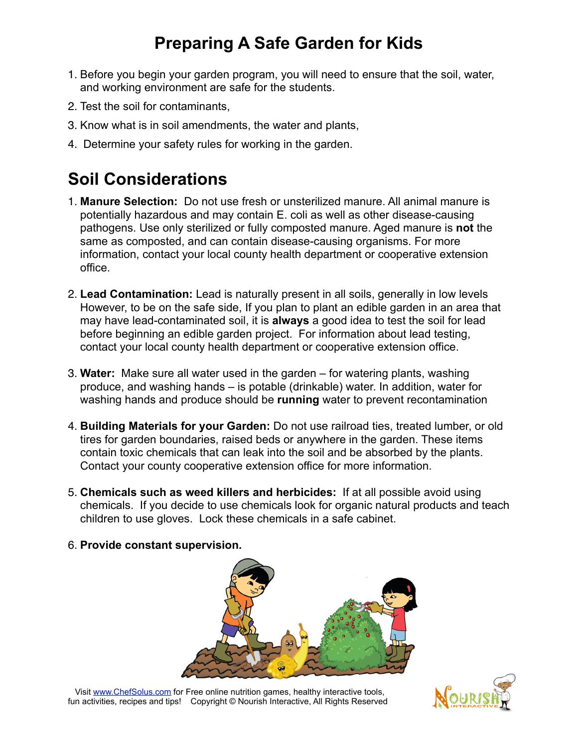# **Preparing A Safe Garden for Kids**

- 1. Before you begin your garden program, you will need to ensure that the soil, water, and working environment are safe for the students.
- 2. Test the soil for contaminants,
- 3. Know what is in soil amendments, the water and plants,
- 4. Determine your safety rules for working in the garden.

# **Soil Considerations**

- 1. **Manure Selection:** Do not use fresh or unsterilized manure. All animal manure is potentially hazardous and may contain E. coli as well as other disease-causing pathogens. Use only sterilized or fully composted manure. Aged manure is **not** the same as composted, and can contain disease-causing organisms. For more information, contact your local county health department or cooperative extension office.
- 2. **Lead Contamination:** Lead is naturally present in all soils, generally in low levels However, to be on the safe side, If you plan to plant an edible garden in an area that may have lead-contaminated soil, it is **always** a good idea to test the soil for lead before beginning an edible garden project. For information about lead testing, contact your local county health department or cooperative extension office.
- 3. **Water:** Make sure all water used in the garden for watering plants, washing produce, and washing hands – is potable (drinkable) water. In addition, water for washing hands and produce should be **running** water to prevent recontamination
- 4. **Building Materials for your Garden:** Do not use railroad ties, treated lumber, or old tires for garden boundaries, raised beds or anywhere in the garden. These items contain toxic chemicals that can leak into the soil and be absorbed by the plants. Contact your county cooperative extension office for more information.
- 5. **Chemicals such as weed killers and herbicides:** If at all possible avoid using chemicals. If you decide to use chemicals look for organic natural products and teach children to use gloves. Lock these chemicals in a safe cabinet.
- 6. **Provide constant supervision.**



 Visit [www.ChefSolus.com](http://www.ChefSolus.com) for Free online nutrition games, healthy interactive tools, fun activities, recipes and tips! Copyright © Nourish Interactive, All Rights Reserved